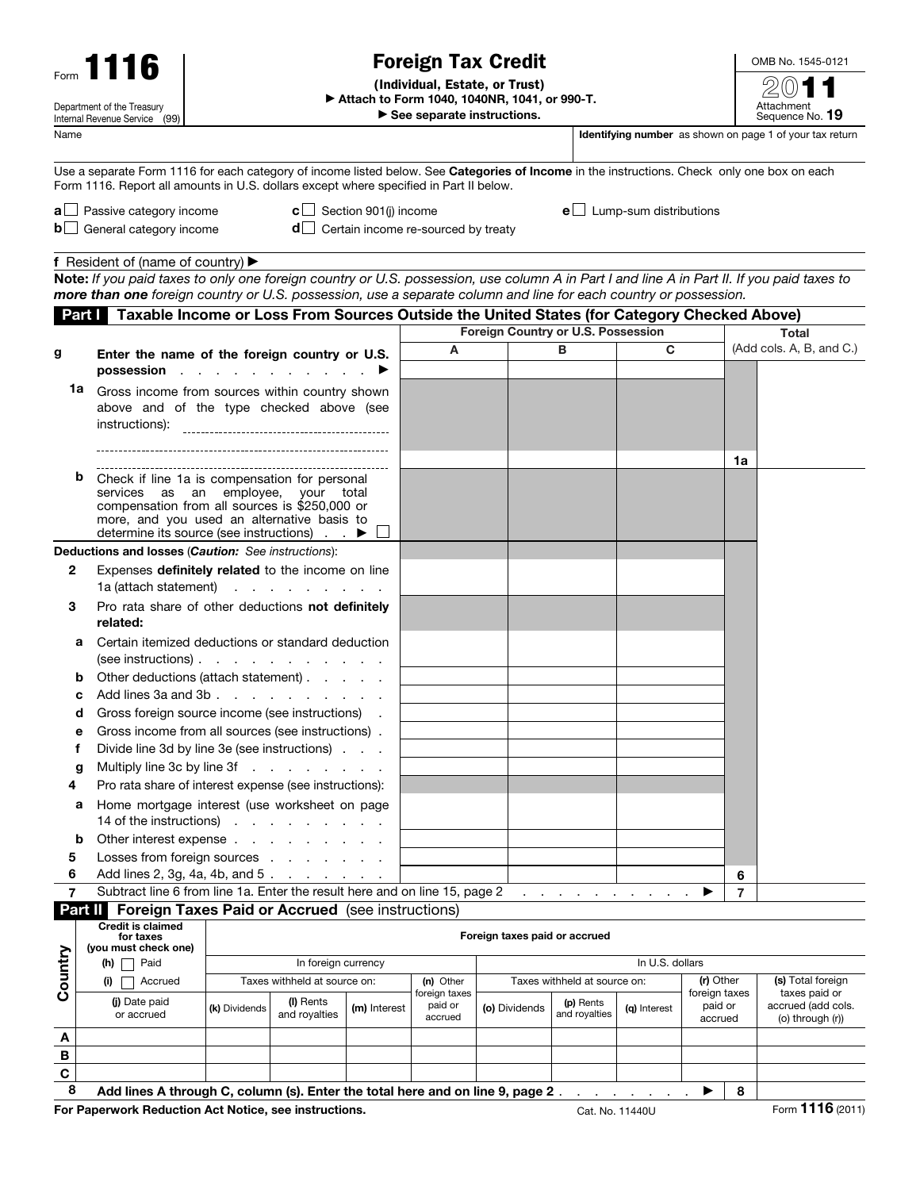| Form 1116                                                   |                                                                                                                                                                                                                                                    | <b>Foreign Tax Credit</b>                                                                                                          |                                 |                                       |                                                                       |                          |                            |                                                 |  |                                     | OMB No. 1545-0121                                       |  |
|-------------------------------------------------------------|----------------------------------------------------------------------------------------------------------------------------------------------------------------------------------------------------------------------------------------------------|------------------------------------------------------------------------------------------------------------------------------------|---------------------------------|---------------------------------------|-----------------------------------------------------------------------|--------------------------|----------------------------|-------------------------------------------------|--|-------------------------------------|---------------------------------------------------------|--|
| Department of the Treasury<br>Internal Revenue Service (99) |                                                                                                                                                                                                                                                    | (Individual, Estate, or Trust)<br>Attach to Form 1040, 1040NR, 1041, or 990-T.<br>$\blacktriangleright$ See separate instructions. |                                 |                                       |                                                                       |                          |                            |                                                 |  |                                     | Attachment<br>Sequence No. 19                           |  |
| Name                                                        |                                                                                                                                                                                                                                                    |                                                                                                                                    |                                 |                                       | Identifying number as shown on page 1 of your tax return              |                          |                            |                                                 |  |                                     |                                                         |  |
|                                                             | Use a separate Form 1116 for each category of income listed below. See Categories of Income in the instructions. Check only one box on each<br>Form 1116. Report all amounts in U.S. dollars except where specified in Part II below.              |                                                                                                                                    |                                 |                                       |                                                                       |                          |                            |                                                 |  |                                     |                                                         |  |
|                                                             | $\mathbf{a}$ Passive category income<br>$\mathbf{b}$ General category income                                                                                                                                                                       |                                                                                                                                    |                                 | <b>c</b> $\Box$ Section 901(j) income | $e$ Lump-sum distributions<br>$d$ Certain income re-sourced by treaty |                          |                            |                                                 |  |                                     |                                                         |  |
|                                                             | f Resident of (name of country) $\blacktriangleright$                                                                                                                                                                                              |                                                                                                                                    |                                 |                                       |                                                                       |                          |                            |                                                 |  |                                     |                                                         |  |
|                                                             | Note: If you paid taxes to only one foreign country or U.S. possession, use column A in Part I and line A in Part II. If you paid taxes to                                                                                                         |                                                                                                                                    |                                 |                                       |                                                                       |                          |                            |                                                 |  |                                     |                                                         |  |
|                                                             | more than one foreign country or U.S. possession, use a separate column and line for each country or possession.                                                                                                                                   |                                                                                                                                    |                                 |                                       |                                                                       |                          |                            |                                                 |  |                                     |                                                         |  |
|                                                             | Part Taxable Income or Loss From Sources Outside the United States (for Category Checked Above)                                                                                                                                                    |                                                                                                                                    |                                 |                                       |                                                                       |                          |                            |                                                 |  |                                     |                                                         |  |
|                                                             |                                                                                                                                                                                                                                                    | Enter the name of the foreign country or U.S.                                                                                      |                                 |                                       | A                                                                     |                          | в                          | Foreign Country or U.S. Possession<br>C         |  |                                     | Total<br>(Add cols. A, B, and C.)                       |  |
| g                                                           |                                                                                                                                                                                                                                                    |                                                                                                                                    |                                 |                                       |                                                                       |                          |                            |                                                 |  |                                     |                                                         |  |
| 1a                                                          | possession<br>Gross income from sources within country shown<br>above and of the type checked above (see<br>instructions):                                                                                                                         |                                                                                                                                    |                                 |                                       |                                                                       |                          |                            |                                                 |  |                                     |                                                         |  |
|                                                             |                                                                                                                                                                                                                                                    |                                                                                                                                    |                                 |                                       |                                                                       |                          |                            |                                                 |  | 1a                                  |                                                         |  |
|                                                             | Check if line 1a is compensation for personal<br>b<br>services as an employee, your total<br>compensation from all sources is \$250,000 or<br>more, and you used an alternative basis to<br>determine its source (see instructions) $\blacksquare$ |                                                                                                                                    |                                 |                                       |                                                                       |                          |                            |                                                 |  |                                     |                                                         |  |
|                                                             | Deductions and losses (Caution: See instructions):                                                                                                                                                                                                 |                                                                                                                                    |                                 |                                       |                                                                       |                          |                            |                                                 |  |                                     |                                                         |  |
| 2                                                           | Expenses definitely related to the income on line                                                                                                                                                                                                  |                                                                                                                                    |                                 |                                       |                                                                       |                          |                            |                                                 |  |                                     |                                                         |  |
|                                                             | 1a (attach statement)                                                                                                                                                                                                                              |                                                                                                                                    | and a state of the state of the |                                       |                                                                       |                          |                            |                                                 |  |                                     |                                                         |  |
| 3                                                           | Pro rata share of other deductions not definitely                                                                                                                                                                                                  |                                                                                                                                    |                                 |                                       |                                                                       |                          |                            |                                                 |  |                                     |                                                         |  |
|                                                             | related:                                                                                                                                                                                                                                           |                                                                                                                                    |                                 |                                       |                                                                       |                          |                            |                                                 |  |                                     |                                                         |  |
|                                                             | Certain itemized deductions or standard deduction<br>а<br>$(see$ instructions $). \t \t \t \t$                                                                                                                                                     |                                                                                                                                    |                                 |                                       |                                                                       |                          |                            |                                                 |  |                                     |                                                         |  |
|                                                             | Other deductions (attach statement)<br>b                                                                                                                                                                                                           |                                                                                                                                    |                                 |                                       |                                                                       |                          |                            |                                                 |  |                                     |                                                         |  |
|                                                             | Add lines 3a and 3b                                                                                                                                                                                                                                |                                                                                                                                    |                                 |                                       |                                                                       |                          |                            |                                                 |  |                                     |                                                         |  |
| d                                                           |                                                                                                                                                                                                                                                    | Gross foreign source income (see instructions)                                                                                     |                                 |                                       |                                                                       |                          |                            |                                                 |  |                                     |                                                         |  |
| е                                                           | Gross income from all sources (see instructions).<br>Divide line 3d by line 3e (see instructions)                                                                                                                                                  |                                                                                                                                    |                                 |                                       |                                                                       |                          |                            |                                                 |  |                                     |                                                         |  |
| f                                                           | Multiply line 3c by line 3f                                                                                                                                                                                                                        |                                                                                                                                    |                                 |                                       |                                                                       |                          |                            |                                                 |  |                                     |                                                         |  |
| g<br>4                                                      | Pro rata share of interest expense (see instructions):                                                                                                                                                                                             |                                                                                                                                    |                                 |                                       |                                                                       |                          |                            |                                                 |  |                                     |                                                         |  |
| а                                                           | Home mortgage interest (use worksheet on page                                                                                                                                                                                                      |                                                                                                                                    |                                 |                                       |                                                                       |                          |                            |                                                 |  |                                     |                                                         |  |
|                                                             | 14 of the instructions)                                                                                                                                                                                                                            |                                                                                                                                    |                                 |                                       |                                                                       |                          |                            |                                                 |  |                                     |                                                         |  |
| b                                                           | Other interest expense                                                                                                                                                                                                                             |                                                                                                                                    |                                 |                                       |                                                                       |                          |                            |                                                 |  |                                     |                                                         |  |
| 5                                                           | Losses from foreign sources                                                                                                                                                                                                                        |                                                                                                                                    |                                 |                                       |                                                                       |                          |                            |                                                 |  |                                     |                                                         |  |
| 6                                                           | Add lines 2, 3g, 4a, 4b, and 5.                                                                                                                                                                                                                    |                                                                                                                                    |                                 |                                       |                                                                       |                          |                            |                                                 |  | 6                                   |                                                         |  |
| 7                                                           | Subtract line 6 from line 1a. Enter the result here and on line 15, page 2                                                                                                                                                                         |                                                                                                                                    |                                 |                                       |                                                                       | and a state of the state |                            |                                                 |  | 7                                   |                                                         |  |
|                                                             | <b>Part II</b> Foreign Taxes Paid or Accrued (see instructions)<br><b>Credit is claimed</b>                                                                                                                                                        |                                                                                                                                    |                                 |                                       |                                                                       |                          |                            |                                                 |  |                                     |                                                         |  |
| Country                                                     | for taxes<br>(you must check one)                                                                                                                                                                                                                  |                                                                                                                                    |                                 |                                       | Foreign taxes paid or accrued                                         |                          |                            |                                                 |  |                                     |                                                         |  |
|                                                             | (h) $\Box$ Paid<br>(i)<br>Accrued                                                                                                                                                                                                                  |                                                                                                                                    | In foreign currency             |                                       |                                                                       |                          |                            | In U.S. dollars<br>Taxes withheld at source on: |  | (r) Other                           | (s) Total foreign                                       |  |
|                                                             | (j) Date paid<br>or accrued                                                                                                                                                                                                                        | Taxes withheld at source on:<br>(I) Rents<br>(k) Dividends<br>and royalties                                                        |                                 | (m) Interest                          | (n) Other<br>foreign taxes<br>paid or<br>accrued                      | (o) Dividends            | (p) Rents<br>and royalties | (g) Interest                                    |  | foreign taxes<br>paid or<br>accrued | taxes paid or<br>accrued (add cols.<br>(o) through (r)) |  |
| A                                                           |                                                                                                                                                                                                                                                    |                                                                                                                                    |                                 |                                       |                                                                       |                          |                            |                                                 |  |                                     |                                                         |  |
| B                                                           |                                                                                                                                                                                                                                                    |                                                                                                                                    |                                 |                                       |                                                                       |                          |                            |                                                 |  |                                     |                                                         |  |
| C                                                           |                                                                                                                                                                                                                                                    |                                                                                                                                    |                                 |                                       |                                                                       |                          |                            |                                                 |  |                                     |                                                         |  |
| $\mathbf{o}$                                                |                                                                                                                                                                                                                                                    |                                                                                                                                    |                                 |                                       |                                                                       |                          |                            |                                                 |  |                                     |                                                         |  |

8 Add lines A through C, column (s). Enter the total here and on line 9, page 2 . . . . . . . .  $\blacktriangleright$  8